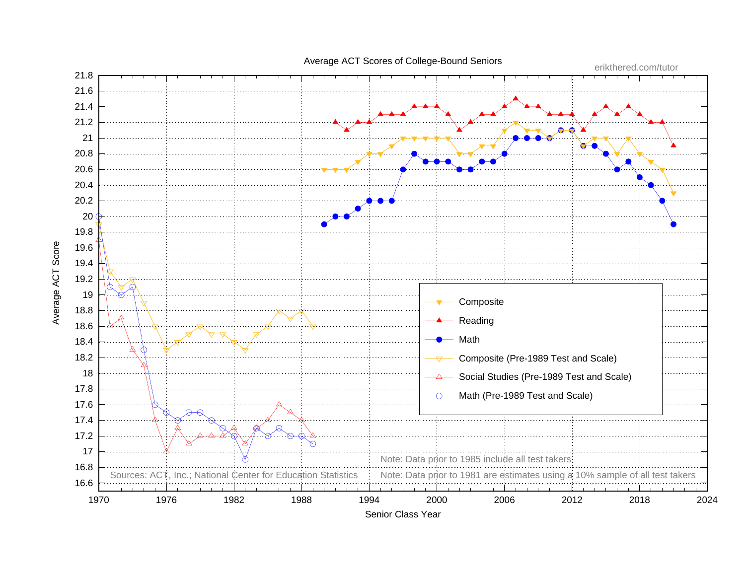